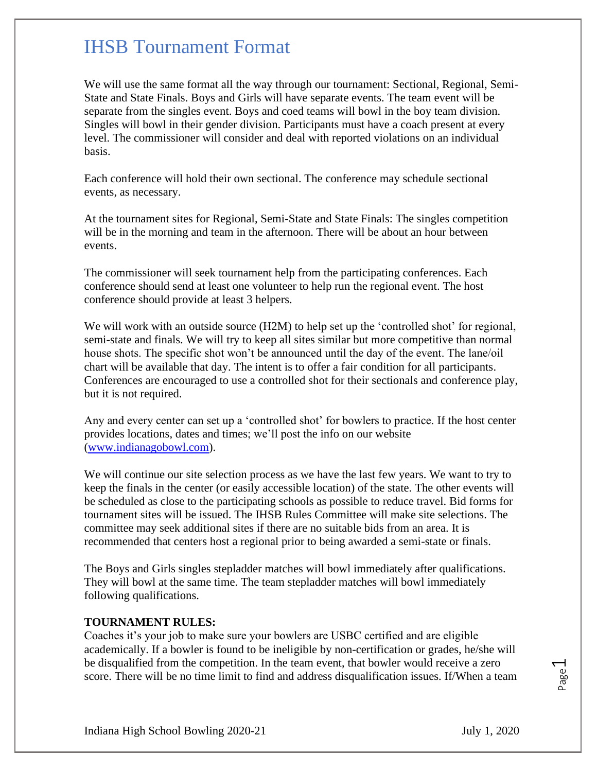We will use the same format all the way through our tournament: Sectional, Regional, Semi-State and State Finals. Boys and Girls will have separate events. The team event will be separate from the singles event. Boys and coed teams will bowl in the boy team division. Singles will bowl in their gender division. Participants must have a coach present at every level. The commissioner will consider and deal with reported violations on an individual basis.

Each conference will hold their own sectional. The conference may schedule sectional events, as necessary.

At the tournament sites for Regional, Semi-State and State Finals: The singles competition will be in the morning and team in the afternoon. There will be about an hour between events.

The commissioner will seek tournament help from the participating conferences. Each conference should send at least one volunteer to help run the regional event. The host conference should provide at least 3 helpers.

We will work with an outside source (H2M) to help set up the 'controlled shot' for regional, semi-state and finals. We will try to keep all sites similar but more competitive than normal house shots. The specific shot won't be announced until the day of the event. The lane/oil chart will be available that day. The intent is to offer a fair condition for all participants. Conferences are encouraged to use a controlled shot for their sectionals and conference play, but it is not required.

Any and every center can set up a 'controlled shot' for bowlers to practice. If the host center provides locations, dates and times; we'll post the info on our website [\(www.indianagobowl.com\)](http://www.indianagobowl.com/).

We will continue our site selection process as we have the last few years. We want to try to keep the finals in the center (or easily accessible location) of the state. The other events will be scheduled as close to the participating schools as possible to reduce travel. Bid forms for tournament sites will be issued. The IHSB Rules Committee will make site selections. The committee may seek additional sites if there are no suitable bids from an area. It is recommended that centers host a regional prior to being awarded a semi-state or finals.

The Boys and Girls singles stepladder matches will bowl immediately after qualifications. They will bowl at the same time. The team stepladder matches will bowl immediately following qualifications.

### **TOURNAMENT RULES:**

Coaches it's your job to make sure your bowlers are USBC certified and are eligible academically. If a bowler is found to be ineligible by non-certification or grades, he/she will be disqualified from the competition. In the team event, that bowler would receive a zero score. There will be no time limit to find and address disqualification issues. If/When a team

Page  $\overline{\phantom{0}}$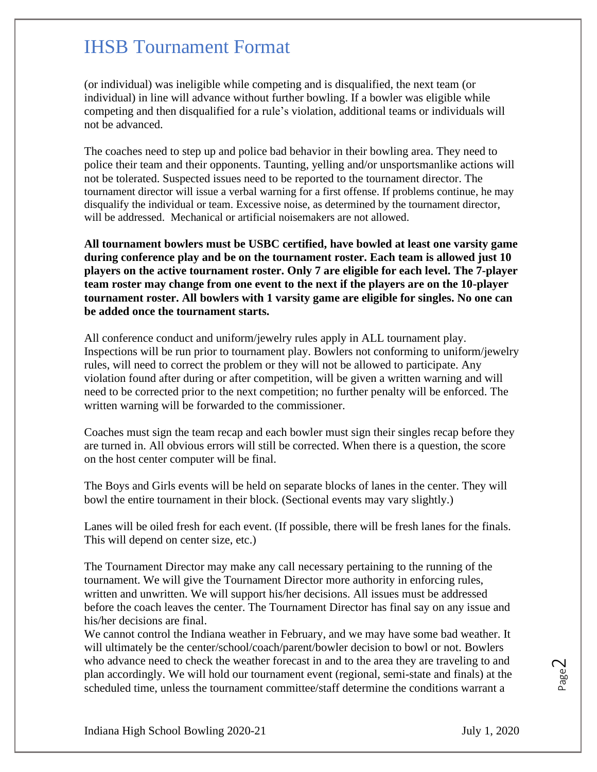(or individual) was ineligible while competing and is disqualified, the next team (or individual) in line will advance without further bowling. If a bowler was eligible while competing and then disqualified for a rule's violation, additional teams or individuals will not be advanced.

The coaches need to step up and police bad behavior in their bowling area. They need to police their team and their opponents. Taunting, yelling and/or unsportsmanlike actions will not be tolerated. Suspected issues need to be reported to the tournament director. The tournament director will issue a verbal warning for a first offense. If problems continue, he may disqualify the individual or team. Excessive noise, as determined by the tournament director, will be addressed. Mechanical or artificial noisemakers are not allowed.

**All tournament bowlers must be USBC certified, have bowled at least one varsity game during conference play and be on the tournament roster. Each team is allowed just 10 players on the active tournament roster. Only 7 are eligible for each level. The 7-player team roster may change from one event to the next if the players are on the 10-player tournament roster. All bowlers with 1 varsity game are eligible for singles. No one can be added once the tournament starts.**

All conference conduct and uniform/jewelry rules apply in ALL tournament play. Inspections will be run prior to tournament play. Bowlers not conforming to uniform/jewelry rules, will need to correct the problem or they will not be allowed to participate. Any violation found after during or after competition, will be given a written warning and will need to be corrected prior to the next competition; no further penalty will be enforced. The written warning will be forwarded to the commissioner.

Coaches must sign the team recap and each bowler must sign their singles recap before they are turned in. All obvious errors will still be corrected. When there is a question, the score on the host center computer will be final.

The Boys and Girls events will be held on separate blocks of lanes in the center. They will bowl the entire tournament in their block. (Sectional events may vary slightly.)

Lanes will be oiled fresh for each event. (If possible, there will be fresh lanes for the finals. This will depend on center size, etc.)

The Tournament Director may make any call necessary pertaining to the running of the tournament. We will give the Tournament Director more authority in enforcing rules, written and unwritten. We will support his/her decisions. All issues must be addressed before the coach leaves the center. The Tournament Director has final say on any issue and his/her decisions are final.

We cannot control the Indiana weather in February, and we may have some bad weather. It will ultimately be the center/school/coach/parent/bowler decision to bowl or not. Bowlers who advance need to check the weather forecast in and to the area they are traveling to and plan accordingly. We will hold our tournament event (regional, semi-state and finals) at the scheduled time, unless the tournament committee/staff determine the conditions warrant a

Page  $\mathrel{\sim}$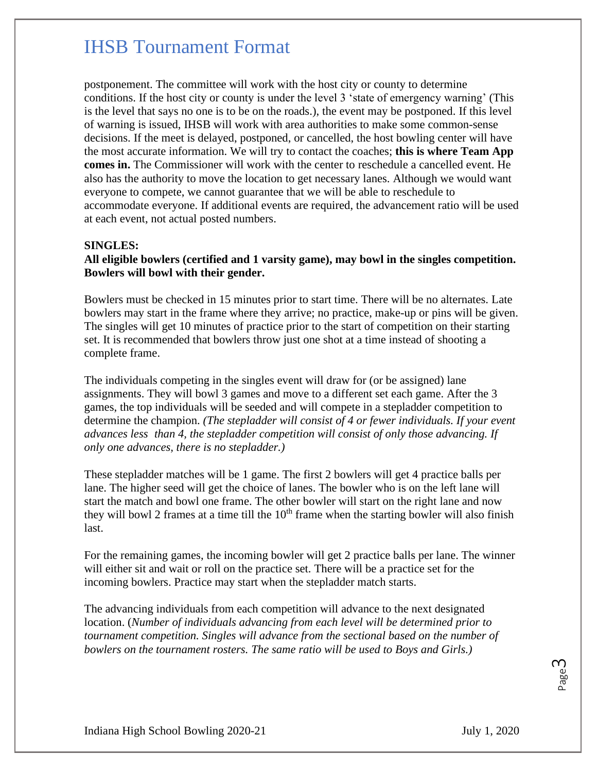postponement. The committee will work with the host city or county to determine conditions. If the host city or county is under the level 3 'state of emergency warning' (This is the level that says no one is to be on the roads.), the event may be postponed. If this level of warning is issued, IHSB will work with area authorities to make some common-sense decisions. If the meet is delayed, postponed, or cancelled, the host bowling center will have the most accurate information. We will try to contact the coaches; **this is where Team App comes in.** The Commissioner will work with the center to reschedule a cancelled event. He also has the authority to move the location to get necessary lanes. Although we would want everyone to compete, we cannot guarantee that we will be able to reschedule to accommodate everyone. If additional events are required, the advancement ratio will be used at each event, not actual posted numbers.

#### **SINGLES:**

### **All eligible bowlers (certified and 1 varsity game), may bowl in the singles competition. Bowlers will bowl with their gender.**

Bowlers must be checked in 15 minutes prior to start time. There will be no alternates. Late bowlers may start in the frame where they arrive; no practice, make-up or pins will be given. The singles will get 10 minutes of practice prior to the start of competition on their starting set. It is recommended that bowlers throw just one shot at a time instead of shooting a complete frame.

The individuals competing in the singles event will draw for (or be assigned) lane assignments. They will bowl 3 games and move to a different set each game. After the 3 games, the top individuals will be seeded and will compete in a stepladder competition to determine the champion. *(The stepladder will consist of 4 or fewer individuals. If your event advances less than 4, the stepladder competition will consist of only those advancing. If only one advances, there is no stepladder.)*

These stepladder matches will be 1 game. The first 2 bowlers will get 4 practice balls per lane. The higher seed will get the choice of lanes. The bowler who is on the left lane will start the match and bowl one frame. The other bowler will start on the right lane and now they will bowl 2 frames at a time till the  $10<sup>th</sup>$  frame when the starting bowler will also finish last.

For the remaining games, the incoming bowler will get 2 practice balls per lane. The winner will either sit and wait or roll on the practice set. There will be a practice set for the incoming bowlers. Practice may start when the stepladder match starts.

The advancing individuals from each competition will advance to the next designated location. (*Number of individuals advancing from each level will be determined prior to tournament competition. Singles will advance from the sectional based on the number of bowlers on the tournament rosters. The same ratio will be used to Boys and Girls.)*

> Page ന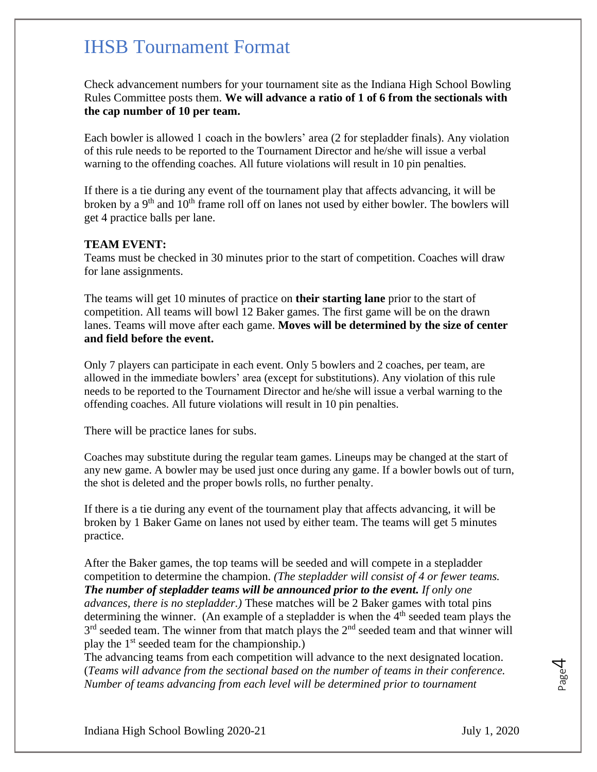Check advancement numbers for your tournament site as the Indiana High School Bowling Rules Committee posts them. **We will advance a ratio of 1 of 6 from the sectionals with the cap number of 10 per team.**

Each bowler is allowed 1 coach in the bowlers' area (2 for stepladder finals). Any violation of this rule needs to be reported to the Tournament Director and he/she will issue a verbal warning to the offending coaches. All future violations will result in 10 pin penalties.

If there is a tie during any event of the tournament play that affects advancing, it will be broken by a  $9<sup>th</sup>$  and  $10<sup>th</sup>$  frame roll off on lanes not used by either bowler. The bowlers will get 4 practice balls per lane.

#### **TEAM EVENT:**

Teams must be checked in 30 minutes prior to the start of competition. Coaches will draw for lane assignments.

The teams will get 10 minutes of practice on **their starting lane** prior to the start of competition. All teams will bowl 12 Baker games. The first game will be on the drawn lanes. Teams will move after each game. **Moves will be determined by the size of center and field before the event.**

Only 7 players can participate in each event. Only 5 bowlers and 2 coaches, per team, are allowed in the immediate bowlers' area (except for substitutions). Any violation of this rule needs to be reported to the Tournament Director and he/she will issue a verbal warning to the offending coaches. All future violations will result in 10 pin penalties.

There will be practice lanes for subs.

Coaches may substitute during the regular team games. Lineups may be changed at the start of any new game. A bowler may be used just once during any game. If a bowler bowls out of turn, the shot is deleted and the proper bowls rolls, no further penalty.

If there is a tie during any event of the tournament play that affects advancing, it will be broken by 1 Baker Game on lanes not used by either team. The teams will get 5 minutes practice.

After the Baker games, the top teams will be seeded and will compete in a stepladder competition to determine the champion. *(The stepladder will consist of 4 or fewer teams. The number of stepladder teams will be announced prior to the event. If only one advances, there is no stepladder.)* These matches will be 2 Baker games with total pins determining the winner. (An example of a stepladder is when the  $4<sup>th</sup>$  seeded team plays the  $3<sup>rd</sup>$  seeded team. The winner from that match plays the  $2<sup>nd</sup>$  seeded team and that winner will play the 1<sup>st</sup> seeded team for the championship.)

The advancing teams from each competition will advance to the next designated location. (*Teams will advance from the sectional based on the number of teams in their conference. Number of teams advancing from each level will be determined prior to tournament* 

Page 4